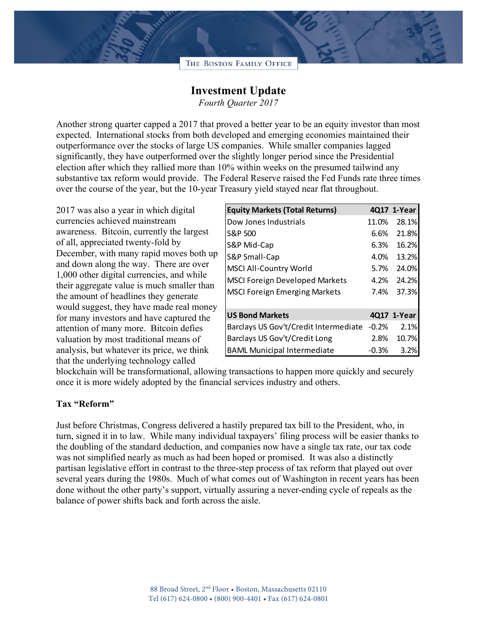## THE BOSTON FAMILY OFFICE

## **Investment Update**

*Fourth Quarter 2017*

Another strong quarter capped a 2017 that proved a better year to be an equity investor than most expected. International stocks from both developed and emerging economies maintained their outperformance over the stocks of large US companies. While smaller companies lagged significantly, they have outperformed over the slightly longer period since the Presidential election after which they rallied more than 10% within weeks on the presumed tailwind any substantive tax reform would provide. The Federal Reserve raised the Fed Funds rate three times over the course of the year, but the 10-year Treasury yield stayed near flat throughout.

2017 was also a year in which digital currencies achieved mainstream awareness. Bitcoin, currently the largest of all, appreciated twenty-fold by December, with many rapid moves both up and down along the way. There are over 1,000 other digital currencies, and while their aggregate value is much smaller than the amount of headlines they generate would suggest, they have made real money for many investors and have captured the attention of many more. Bitcoin defies valuation by most traditional means of analysis, but whatever its price, we think that the underlying technology called

| <b>Equity Markets (Total Returns)</b> |         | 4017 1-Year |
|---------------------------------------|---------|-------------|
| Dow Jones Industrials                 | 11.0%   | 28.1%       |
| S&P 500                               | 6.6%    | 21.8%       |
| S&P Mid-Cap                           | 6.3%    | 16.2%       |
| S&P Small-Cap                         | 4.0%    | 13.2%       |
| <b>MSCI All-Country World</b>         | 5.7%    | 24.0%       |
| <b>MSCI Foreign Developed Markets</b> | 4.2%    | 24.2%       |
| <b>MSCI Foreign Emerging Markets</b>  | 7.4%    | 37.3%       |
| <b>US Bond Markets</b>                |         | 4017 1-Year |
| Barclays US Gov't/Credit Intermediate | $-0.2%$ | 2.1%        |
| Barclays US Gov't/Credit Long         | 2.8%    | 10.7%       |
| <b>BAML Municipal Intermediate</b>    | $-0.3%$ | 3.2%        |

blockchain will be transformational, allowing transactions to happen more quickly and securely once it is more widely adopted by the financial services industry and others.

## **Tax "Reform"**

Just before Christmas, Congress delivered a hastily prepared tax bill to the President, who, in turn, signed it in to law. While many individual taxpayers' filing process will be easier thanks to the doubling of the standard deduction, and companies now have a single tax rate, our tax code was not simplified nearly as much as had been hoped or promised. It was also a distinctly partisan legislative effort in contrast to the three-step process of tax reform that played out over several years during the 1980s. Much of what comes out of Washington in recent years has been done without the other party's support, virtually assuring a never-ending cycle of repeals as the balance of power shifts back and forth across the aisle.